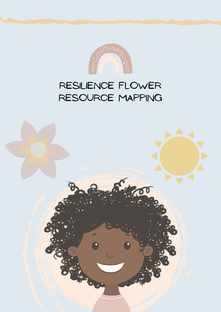

#### resilience flower resource mapping

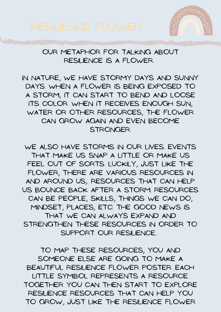

our metaphor for talking about resilience is a flower.

in nature, we have stormy days and sunny days. when a flower is being exposed to a storm, it can start to bend and loose its color. when it receives enough sun, water or other resources, the flower can grow again and even become stronger.

we also have storms in our lives. events that make us snap a little or make us FEEL OUT OF SORTS. LUCKILY, JUST LIKE THE flower, there are various resources in and around us,. resources that can help us bounce back after a storm. Resources can be people, skills, things we can do, mindset, places, etc. the good news is that we can always expand and strengthen these resources in order to support our resilience..

To map these resources, you and someone else are going to make a beautiful resilience flower poster. each little symbol represents a resource. together you can then start to explore resilience resources that can help you to grow, just like the resilience flower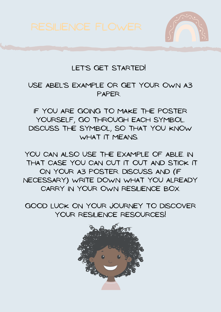



#### let's get started!

#### Use abel's example or get your own a3 paper.

If you are going to make the poster YOURSELF, GO THROUGH EACH SYMBOL. discuss the symbol, so that you know what it means.

YOU CAN ALSO USE THE EXAMPLE OF ABLE. IN that case you can cut it out and stick it on your a3 poster. discuss and (if necessary) write down what you already carry in your own resilience box.

Good luck on your journey to discover YOUR RESILIENCE RESOURCES!

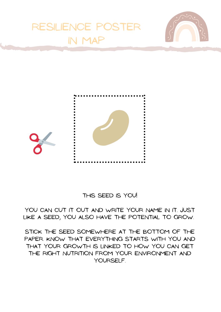



#### This seed is you!

YOU CAN CUT IT OUT AND WRITE YOUR NAME IN IT. JUST like a seed, you also have the potential to grow.

Stick the seed somewhere at the bottom of the PAPER. KNOW THAT EVERYTHING STARTS WITH YOU AND that your growth is linked to how you can get the right nutrition from your environment and yourself.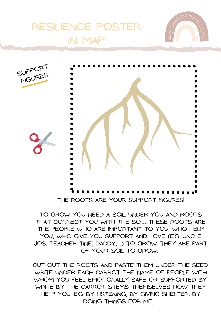

# resilience poster in map



THE ROOTS ARE YOUR SUPPORT FIGURES!

TO GROW YOU NEED A SOIL. UNDER YOU AND ROOTS THAT CONNECT YOU WITH THE SOIL. THESE ROOTS ARE the people who are important to you, who help YOU, WHO GIVE YOU SUPPORT AND LOVE (E.G. UNCLE Jos, teacher Tine, daddy, ...) to grow. they are part of your soil to grow.

Cut out the roots and paste them under the seed. Write under each carrot the name of people with whom you feel emotionally safe or supported by. write by the carrot stems themselves how they help you. e.g. by listening, by giving shelter, by DOING THINGS FOR ME, ...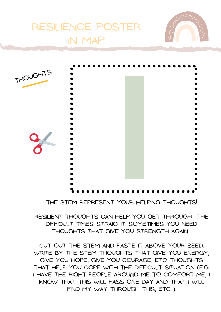



#### the stem represent your helping thoughts!

Resilient thoughts can help you get through the difficult times. straight. sometimes you need thoughts that give you strength again.

Cut out the stem and paste it above your seed. write by the stem thoughts that give you energy, give you hope, give you courage, etc. thoughts that help you cope with the difficult situation (e.g. I have the right people around me to comfort me, I know that this will pass one day and that I will FIND MY WAY THROUGH THIS, ETC...).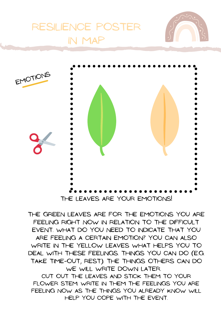



the leaves are your emotions!

The green leaves are for the emotions you are FEELING RIGHT NOW IN RELATION TO THE DIFFICULT event. What do you need to indicate that you are feeling a certain emotion? You can also write in the yellow leaves what helps you to deal with these feelings. things you can do (e.g. take time-out, rest). The things others can do we will write down later. Cut out the leaves and stick them to your FLOWER STEM. WRITE IN THEM THE FEELINGS YOU ARE FEELING NOW AS THE THINGS YOU ALREADY KNOW WILL

help you cope with the event.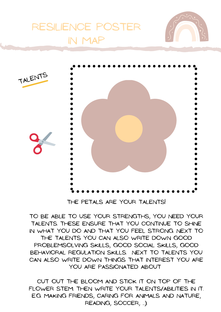



the petals are your talents!

to be able to use your strengths, you need your talents. these ensure that you continue to shine in what you do and that you feel strong. Next to the talents you can also write down good problemsolving skills, good social skills, good behavioral regulation skills. next to talents you can also write down things that interest you are YOU ARE PASSIONATED ABOUT

cut out the bloom and stick it on top of the FLOWER STEM. THEN WRITE YOUR TALENTS/ABILITIES IN IT. E.g. making friends, caring for animals and nature, READING, SOCCER, ...).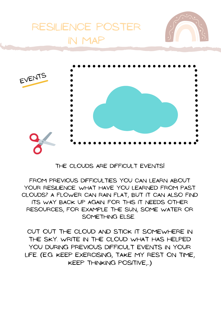

# resilience poster in map



#### the clouds are difficult events!

FROM PREVIOUS DIFFICULTIES YOU CAN LEARN ABOUT YOUR RESILIENCE. WHAT HAVE YOU LEARNED FROM PAST clouds? a flower can rain flat, but it can also find its way back up again. for this it needs other resources, for example the sun, some water or something else.

cut out the cloud and stick it somewhere in the sky. write in the cloud what has helped you during previous difficult events in your life. (e.g. keep exercising, take my rest on time, keep thinking positive,...)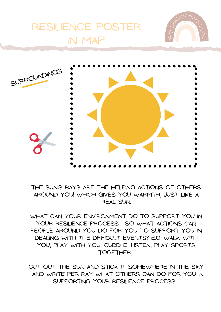



the sun's rays are the helping actions of others around you! which gives you warmth, just like a real sun.

what can your environment do to support you in YOUR RESILIENCE PROCESS. . SO WHAT ACTIONS CAN people around you do for you to support you in dealing with the difficult events? e.g. walk with you, play with you, cuddle, listen, play sports together,...

cut out the sun and stick it somewhere in the sky . and write per ray what others can do for you in supporting your resilience process..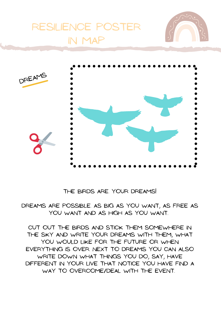



#### The birds are. Your dreams!

Dreams are possible. As big as you want, as free as YOU WANT AND AS HIGH AS YOU WANT.

Cut out the birds and stick them somewhere in the sky and write your dreams with them, what YOU WOULD LIKE FOR THE FUTURE OR WHEN everything is over. Next to dreams you can also write down what things you do, say, have different in your live that notice you have find a way to overcome/deal with the event.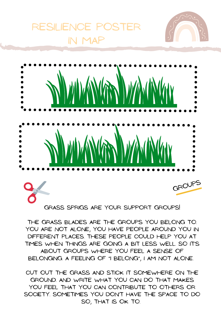

# RESILIENCE in map



grass sprigs are your support groups!

the grass blades are the groups you belong to. you are not alone, you have people around you in different places. these people could help you at times when things are going a bit less well. so it's about groups where you feel a sense of belonging. a feeling of "I belong", I am not alone.

Cut out the grass and stick it somewhere on the ground. and write what you can do that makes you feel that you can contribute to others or society. sometimes you don't have the space to do so, that is ok to.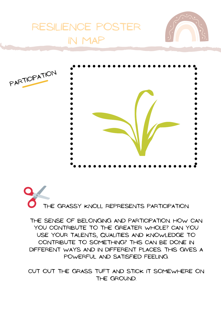





The grassy knoll represents participation.

The sense of belonging and participation. How can YOU CONTRIBUTE TO THE GREATER WHOLE? CAN YOU use your talents, qualities and knowledge to contribute to something? This can be done in different ways and in different places. this gives a powerful and satisfied feeling.

Cut out the grass tuft and stick it somewhere on the ground.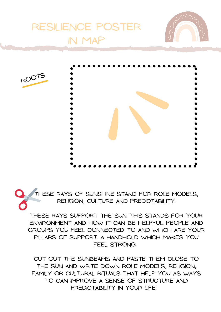

## resilience poster in map





These rays of sunshine stand for role models, religion, culture and predictability.

These rays support the sun. this stands for your environment and how it can be helpful. people and groups you feel connected to and which are your pillars of support. a handhold which makes you feel strong.

Cut out the sunbeams and paste them close to the sun and write down role models, religion, family or cultural rituals that help you as ways to can improve a sense of structure and PREDICTABILITY IN YOUR LIFE.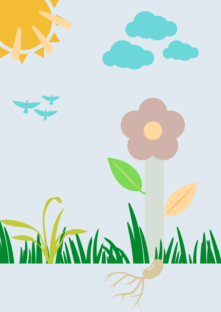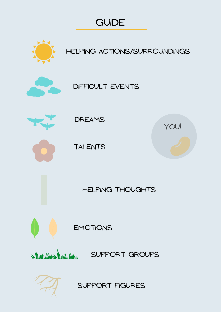**GUIDE** 



helping actions/surroundings

you!



#### difficult events



**DREAMS** 



**TALENTS** 

helping thoughts

**EMOTIONS** 

**SUPPORT GROUPS** 



support figures